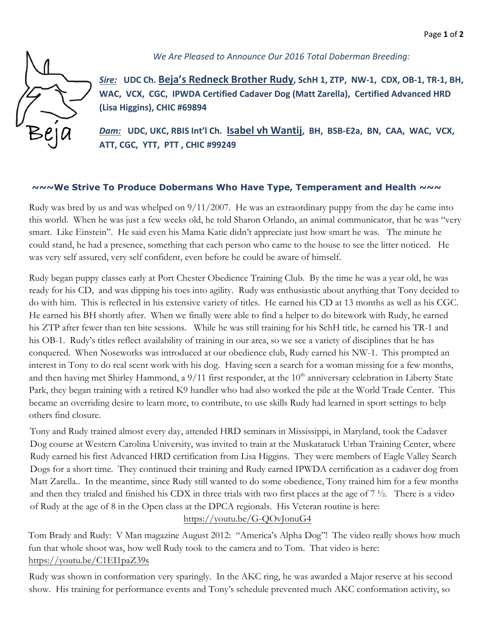

*We Are Pleased to Announce Our 2016 Total Doberman Breeding:* 

*Sire:* **UDC Ch. Beja's Redneck Brother Rudy, SchH 1, ZTP, NW-1, CDX, OB-1, TR-1, BH, WAC, VCX, CGC, IPWDA Certified Cadaver Dog (Matt Zarella), Certified Advanced HRD (Lisa Higgins), CHIC #69894** 

*Dam:* **UDC, UKC, RBIS Int'l Ch. Isabel vh Wantij, BH, BSB-E2a, BN, CAA, WAC, VCX, ATT, CGC, YTT, PTT , CHIC #99249** 

## **~~~We Strive To Produce Dobermans Who Have Type, Temperament and Health ~~~**

Rudy was bred by us and was whelped on 9/11/2007. He was an extraordinary puppy from the day he came into this world. When he was just a few weeks old, he told Sharon Orlando, an animal communicator, that he was "very smart. Like Einstein". He said even his Mama Katie didn't appreciate just how smart he was. The minute he could stand, he had a presence, something that each person who came to the house to see the litter noticed. He was very self assured, very self confident, even before he could be aware of himself.

Rudy began puppy classes early at Port Chester Obedience Training Club. By the time he was a year old, he was ready for his CD, and was dipping his toes into agility. Rudy was enthusiastic about anything that Tony decided to do with him. This is reflected in his extensive variety of titles. He earned his CD at 13 months as well as his CGC. He earned his BH shortly after. When we finally were able to find a helper to do bitework with Rudy, he earned his ZTP after fewer than ten bite sessions. While he was still training for his SchH title, he earned his TR-1 and his OB-1. Rudy's titles reflect availability of training in our area, so we see a variety of disciplines that he has conquered. When Noseworks was introduced at our obedience club, Rudy earned his NW-1. This prompted an interest in Tony to do real scent work with his dog. Having seen a search for a woman missing for a few months, and then having met Shirley Hammond, a 9/11 first responder, at the 10<sup>th</sup> anniversary celebration in Liberty State Park, they began training with a retired K9 handler who had also worked the pile at the World Trade Center. This became an overriding desire to learn more, to contribute, to use skills Rudy had learned in sport settings to help others find closure.

Tony and Rudy trained almost every day, attended HRD seminars in Mississippi, in Maryland, took the Cadaver Dog course at Western Carolina University, was invited to train at the Muskatatuck Urban Training Center, where Rudy earned his first Advanced HRD certification from Lisa Higgins. They were members of Eagle Valley Search Dogs for a short time. They continued their training and Rudy earned IPWDA certification as a cadaver dog from Matt Zarella.. In the meantime, since Rudy still wanted to do some obedience, Tony trained him for a few months and then they trialed and finished his CDX in three trials with two first places at the age of  $7\frac{1}{2}$ . There is a video of Rudy at the age of 8 in the Open class at the DPCA re[gionals. His Veteran routine is here](https://youtu.be/G-QOvJonuG4):

https://youtu.be/G-QOvJonuG4

Tom Brady and Rudy: V Man magazine August 2012: "America's Alpha Dog"! The video really shows how much fun that whole shoot was, how well Rudy took to the camera and to Tom. That video is here: <https://youtu.be/C1EI1paZ39s>

Rudy was shown in conformation very sparingly. In the AKC ring, he was awarded a Major reserve at his second show. His training for performance events and Tony's schedule prevented much AKC conformation activity, so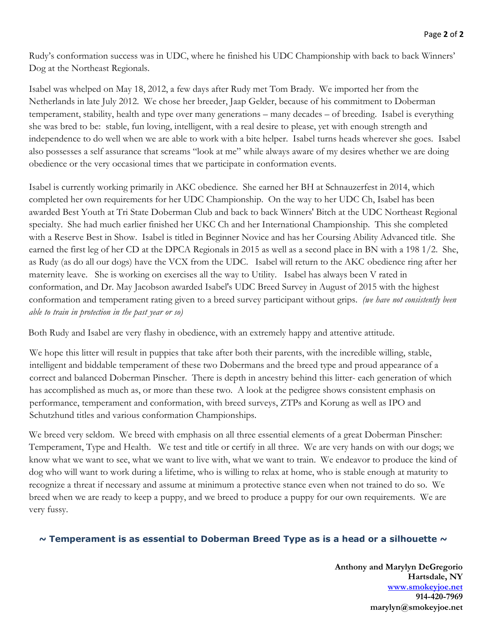Rudy's conformation success was in UDC, where he finished his UDC Championship with back to back Winners' Dog at the Northeast Regionals.

Isabel was whelped on May 18, 2012, a few days after Rudy met Tom Brady. We imported her from the Netherlands in late July 2012. We chose her breeder, Jaap Gelder, because of his commitment to Doberman temperament, stability, health and type over many generations – many decades – of breeding. Isabel is everything she was bred to be: stable, fun loving, intelligent, with a real desire to please, yet with enough strength and independence to do well when we are able to work with a bite helper. Isabel turns heads wherever she goes. Isabel also possesses a self assurance that screams "look at me" while always aware of my desires whether we are doing obedience or the very occasional times that we participate in conformation events.

Isabel is currently working primarily in AKC obedience. She earned her BH at Schnauzerfest in 2014, which completed her own requirements for her UDC Championship. On the way to her UDC Ch, Isabel has been awarded Best Youth at Tri State Doberman Club and back to back Winners' Bitch at the UDC Northeast Regional specialty. She had much earlier finished her UKC Ch and her International Championship. This she completed with a Reserve Best in Show. Isabel is titled in Beginner Novice and has her Coursing Ability Advanced title. She earned the first leg of her CD at the DPCA Regionals in 2015 as well as a second place in BN with a 198 1/2. She, as Rudy (as do all our dogs) have the VCX from the UDC. Isabel will return to the AKC obedience ring after her maternity leave. She is working on exercises all the way to Utility. Isabel has always been V rated in conformation, and Dr. May Jacobson awarded Isabel's UDC Breed Survey in August of 2015 with the highest conformation and temperament rating given to a breed survey participant without grips. *(we have not consistently been able to train in protection in the past year or so)*

Both Rudy and Isabel are very flashy in obedience, with an extremely happy and attentive attitude.

We hope this litter will result in puppies that take after both their parents, with the incredible willing, stable, intelligent and biddable temperament of these two Dobermans and the breed type and proud appearance of a correct and balanced Doberman Pinscher. There is depth in ancestry behind this litter- each generation of which has accomplished as much as, or more than these two. A look at the pedigree shows consistent emphasis on performance, temperament and conformation, with breed surveys, ZTPs and Korung as well as IPO and Schutzhund titles and various conformation Championships.

We breed very seldom. We breed with emphasis on all three essential elements of a great Doberman Pinscher: Temperament, Type and Health. We test and title or certify in all three. We are very hands on with our dogs; we know what we want to see, what we want to live with, what we want to train. We endeavor to produce the kind of dog who will want to work during a lifetime, who is willing to relax at home, who is stable enough at maturity to recognize a threat if necessary and assume at minimum a protective stance even when not trained to do so. We breed when we are ready to keep a puppy, and we breed to produce a puppy for our own requirements. We are very fussy.

## **~ Temperament is as essential to Doberman Breed Type as is a head or [a silhouette ~](http://www.smokeyjoe.net/)**

**Anthony and Marylyn DeGregorio Hartsdale, NY www.smokeyjoe.net 914-420-7969 marylyn@smokeyjoe.net**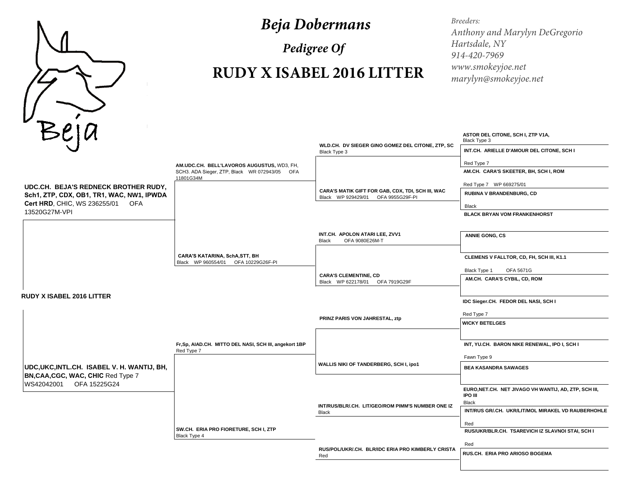

## *Beja Dobermans*

*Pedigree Of*

## **RUDY X ISABEL 2016 LITTER**

*Breeders: Anthony and Marylyn DeGregorioHartsdale, NY 914-420-7969 www.smokeyjoe.netmarylyn@smokeyjoe.net*

| BEJU<br>WLD.CH. DV SIEGER GINO GOMEZ DEL CITONE, ZTP, SC<br>INT.CH. ARIELLE D'AMOUR DEL CITONE, SCH I<br>Black Type 3<br>Red Type 7<br>AM.UDC.CH. BELL'LAVOROS AUGUSTUS, WD3, FH,<br>AM.CH. CARA'S SKEETER, BH, SCH I, ROM<br>SCH3. ADA Sieger, ZTP, Black WR 072943/05 OFA<br>11801G34M<br>Red Type 7 WP 669275/01<br>UDC.CH. BEJA'S REDNECK BROTHER RUDY,<br>CARA'S MATIK GIFT FOR GAB, CDX, TDI, SCH III, WAC<br>RUBINA V BRANDENBURG, CD<br>Sch1, ZTP, CDX, OB1, TR1, WAC, NW1, IPWDA<br>Black WP 929429/01 OFA 9955G29F-PI<br>Cert HRD, CHIC, WS 236255/01 OFA<br>Black<br>13520G27M-VPI<br><b>BLACK BRYAN VOM FRANKENHORST</b><br>INT.CH. APOLON ATARI LEE, ZVV1<br><b>ANNIE GONG, CS</b><br>OFA 9080E26M-T<br><b>Black</b> |
|-----------------------------------------------------------------------------------------------------------------------------------------------------------------------------------------------------------------------------------------------------------------------------------------------------------------------------------------------------------------------------------------------------------------------------------------------------------------------------------------------------------------------------------------------------------------------------------------------------------------------------------------------------------------------------------------------------------------------------------|
|                                                                                                                                                                                                                                                                                                                                                                                                                                                                                                                                                                                                                                                                                                                                   |
|                                                                                                                                                                                                                                                                                                                                                                                                                                                                                                                                                                                                                                                                                                                                   |
|                                                                                                                                                                                                                                                                                                                                                                                                                                                                                                                                                                                                                                                                                                                                   |
|                                                                                                                                                                                                                                                                                                                                                                                                                                                                                                                                                                                                                                                                                                                                   |
|                                                                                                                                                                                                                                                                                                                                                                                                                                                                                                                                                                                                                                                                                                                                   |
|                                                                                                                                                                                                                                                                                                                                                                                                                                                                                                                                                                                                                                                                                                                                   |
|                                                                                                                                                                                                                                                                                                                                                                                                                                                                                                                                                                                                                                                                                                                                   |
| CARA'S KATARINA, SchA, STT, BH<br>CLEMENS V FALLTOR, CD, FH, SCH III, K1.1<br>Black WP 960554/01 OFA 10229G26F-PI                                                                                                                                                                                                                                                                                                                                                                                                                                                                                                                                                                                                                 |
| Black Type 1<br>OFA 5671G<br><b>CARA'S CLEMENTINE, CD</b>                                                                                                                                                                                                                                                                                                                                                                                                                                                                                                                                                                                                                                                                         |
| AM.CH. CARA'S CYBIL, CD, ROM<br>Black WP 622178/01 OFA 7919G29F                                                                                                                                                                                                                                                                                                                                                                                                                                                                                                                                                                                                                                                                   |
| <b>RUDY X ISABEL 2016 LITTER</b>                                                                                                                                                                                                                                                                                                                                                                                                                                                                                                                                                                                                                                                                                                  |
| IDC Sieger.CH. FEDOR DEL NASI, SCH I                                                                                                                                                                                                                                                                                                                                                                                                                                                                                                                                                                                                                                                                                              |
| Red Type 7<br>PRINZ PARIS VON JAHRESTAL, ztp                                                                                                                                                                                                                                                                                                                                                                                                                                                                                                                                                                                                                                                                                      |
| <b>WICKY BETELGES</b>                                                                                                                                                                                                                                                                                                                                                                                                                                                                                                                                                                                                                                                                                                             |
| Fr,Sp, AIAD.CH. MITTO DEL NASI, SCH III, angekort 1BP<br>INT, YU.CH. BARON NIKE RENEWAL, IPO I, SCH I<br>Red Type 7                                                                                                                                                                                                                                                                                                                                                                                                                                                                                                                                                                                                               |
| Fawn Type 9<br>WALLIS NIKI OF TANDERBERG, SCH I, ipo1                                                                                                                                                                                                                                                                                                                                                                                                                                                                                                                                                                                                                                                                             |
| UDC, UKC, INTL.CH. ISABEL V. H. WANTIJ, BH,<br><b>BEA KASANDRA SAWAGES</b><br>BN, CAA, CGC, WAC, CHIC Red Type 7                                                                                                                                                                                                                                                                                                                                                                                                                                                                                                                                                                                                                  |
| WS42042001 OFA 15225G24<br>EURO, NET.CH. NET JIVAGO VH WANTIJ, AD, ZTP, SCH III,<br>IPO III<br><b>Black</b>                                                                                                                                                                                                                                                                                                                                                                                                                                                                                                                                                                                                                       |
| INT/RUS/BLR/.CH. LIT/GEO/ROM PIMM'S NUMBER ONE IZ<br>INT/RUS GR/.CH. UKR/LIT/MOL MIRAKEL VD RAUBERHOHLE<br><b>Black</b>                                                                                                                                                                                                                                                                                                                                                                                                                                                                                                                                                                                                           |
| Red                                                                                                                                                                                                                                                                                                                                                                                                                                                                                                                                                                                                                                                                                                                               |
| SW.CH. ERIA PRO FIORETURE, SCH I, ZTP<br>RUS/UKR/BLR.CH. TSAREVICH IZ SLAVNOI STAI, SCH I<br>Black Type 4                                                                                                                                                                                                                                                                                                                                                                                                                                                                                                                                                                                                                         |
| Red<br>RUS/POL/UKR/.CH. BLR/IDC ERIA PRO KIMBERLY CRISTA                                                                                                                                                                                                                                                                                                                                                                                                                                                                                                                                                                                                                                                                          |
| RUS.CH. ERIA PRO ARIOSO BOGEMA<br>Red                                                                                                                                                                                                                                                                                                                                                                                                                                                                                                                                                                                                                                                                                             |